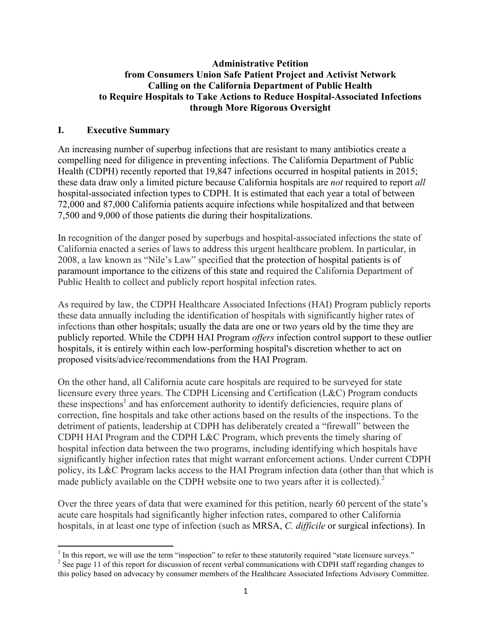#### **Administrative Petition from Consumers Union Safe Patient Project and Activist Network Calling on the California Department of Public Health to Require Hospitals to Take Actions to Reduce Hospital-Associated Infections through More Rigorous Oversight**

### **I. Executive Summary**

 

An increasing number of superbug infections that are resistant to many antibiotics create a compelling need for diligence in preventing infections. The California Department of Public Health (CDPH) recently reported that 19,847 infections occurred in hospital patients in 2015; these data draw only a limited picture because California hospitals are *not* required to report *all* hospital-associated infection types to CDPH. It is estimated that each year a total of between 72,000 and 87,000 California patients acquire infections while hospitalized and that between 7,500 and 9,000 of those patients die during their hospitalizations.

In recognition of the danger posed by superbugs and hospital-associated infections the state of California enacted a series of laws to address this urgent healthcare problem. In particular, in 2008, a law known as "Nile's Law" specified that the protection of hospital patients is of paramount importance to the citizens of this state and required the California Department of Public Health to collect and publicly report hospital infection rates.

As required by law, the CDPH Healthcare Associated Infections (HAI) Program publicly reports these data annually including the identification of hospitals with significantly higher rates of infections than other hospitals; usually the data are one or two years old by the time they are publicly reported. While the CDPH HAI Program *offers* infection control support to these outlier hospitals, it is entirely within each low-performing hospital's discretion whether to act on proposed visits/advice/recommendations from the HAI Program.

On the other hand, all California acute care hospitals are required to be surveyed for state licensure every three years. The CDPH Licensing and Certification (L&C) Program conducts these inspections<sup>1</sup> and has enforcement authority to identify deficiencies, require plans of correction, fine hospitals and take other actions based on the results of the inspections. To the detriment of patients, leadership at CDPH has deliberately created a "firewall" between the CDPH HAI Program and the CDPH L&C Program, which prevents the timely sharing of hospital infection data between the two programs, including identifying which hospitals have significantly higher infection rates that might warrant enforcement actions. Under current CDPH policy, its L&C Program lacks access to the HAI Program infection data (other than that which is made publicly available on the CDPH website one to two years after it is collected).<sup>2</sup>

Over the three years of data that were examined for this petition, nearly 60 percent of the state's acute care hospitals had significantly higher infection rates, compared to other California hospitals, in at least one type of infection (such as MRSA, *C. difficile* or surgical infections). In

 $\frac{1}{2}$  In this report, we will use the term "inspection" to refer to these statutorily required "state licensure surveys."<br>
<sup>2</sup> See page 11 of this report for discussion of recent verbal communications with CDPH staff

this policy based on advocacy by consumer members of the Healthcare Associated Infections Advisory Committee.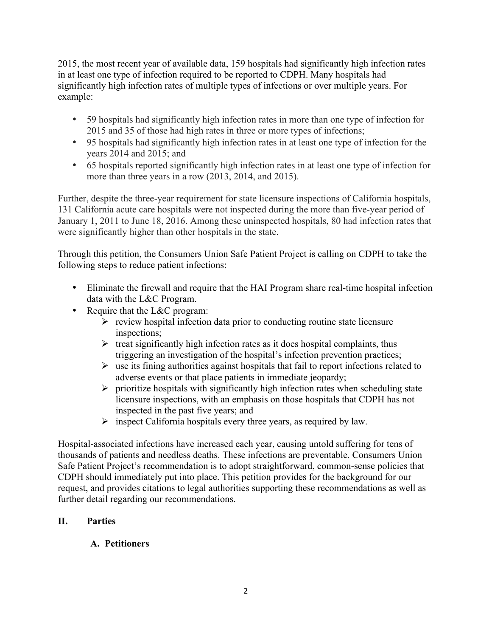2015, the most recent year of available data, 159 hospitals had significantly high infection rates in at least one type of infection required to be reported to CDPH. Many hospitals had significantly high infection rates of multiple types of infections or over multiple years. For example:

- 59 hospitals had significantly high infection rates in more than one type of infection for 2015 and 35 of those had high rates in three or more types of infections;
- 95 hospitals had significantly high infection rates in at least one type of infection for the years 2014 and 2015; and
- 65 hospitals reported significantly high infection rates in at least one type of infection for more than three years in a row (2013, 2014, and 2015).

Further, despite the three-year requirement for state licensure inspections of California hospitals, 131 California acute care hospitals were not inspected during the more than five-year period of January 1, 2011 to June 18, 2016. Among these uninspected hospitals, 80 had infection rates that were significantly higher than other hospitals in the state.

Through this petition, the Consumers Union Safe Patient Project is calling on CDPH to take the following steps to reduce patient infections:

- Eliminate the firewall and require that the HAI Program share real-time hospital infection data with the L&C Program.
- Require that the L&C program:
	- $\triangleright$  review hospital infection data prior to conducting routine state licensure inspections;
	- $\triangleright$  treat significantly high infection rates as it does hospital complaints, thus triggering an investigation of the hospital's infection prevention practices;
	- $\triangleright$  use its fining authorities against hospitals that fail to report infections related to adverse events or that place patients in immediate jeopardy;
	- $\triangleright$  prioritize hospitals with significantly high infection rates when scheduling state licensure inspections, with an emphasis on those hospitals that CDPH has not inspected in the past five years; and
	- $\triangleright$  inspect California hospitals every three years, as required by law.

Hospital-associated infections have increased each year, causing untold suffering for tens of thousands of patients and needless deaths. These infections are preventable. Consumers Union Safe Patient Project's recommendation is to adopt straightforward, common-sense policies that CDPH should immediately put into place. This petition provides for the background for our request, and provides citations to legal authorities supporting these recommendations as well as further detail regarding our recommendations.

# **II. Parties**

# **A. Petitioners**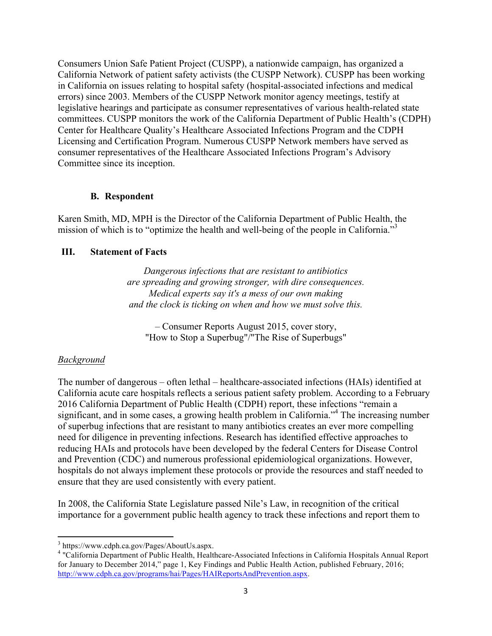Consumers Union Safe Patient Project (CUSPP), a nationwide campaign, has organized a California Network of patient safety activists (the CUSPP Network). CUSPP has been working in California on issues relating to hospital safety (hospital-associated infections and medical errors) since 2003. Members of the CUSPP Network monitor agency meetings, testify at legislative hearings and participate as consumer representatives of various health-related state committees. CUSPP monitors the work of the California Department of Public Health's (CDPH) Center for Healthcare Quality's Healthcare Associated Infections Program and the CDPH Licensing and Certification Program. Numerous CUSPP Network members have served as consumer representatives of the Healthcare Associated Infections Program's Advisory Committee since its inception.

#### **B. Respondent**

Karen Smith, MD, MPH is the Director of the California Department of Public Health, the mission of which is to "optimize the health and well-being of the people in California."<sup>3</sup>

### **III. Statement of Facts**

*Dangerous infections that are resistant to antibiotics are spreading and growing stronger, with dire consequences. Medical experts say it's a mess of our own making and the clock is ticking on when and how we must solve this.*

– Consumer Reports August 2015, cover story, "How to Stop a Superbug"/"The Rise of Superbugs"

### *Background*

The number of dangerous – often lethal – healthcare-associated infections (HAIs) identified at California acute care hospitals reflects a serious patient safety problem. According to a February 2016 California Department of Public Health (CDPH) report, these infections "remain a significant, and in some cases, a growing health problem in California.<sup>34</sup> The increasing number of superbug infections that are resistant to many antibiotics creates an ever more compelling need for diligence in preventing infections. Research has identified effective approaches to reducing HAIs and protocols have been developed by the federal Centers for Disease Control and Prevention (CDC) and numerous professional epidemiological organizations. However, hospitals do not always implement these protocols or provide the resources and staff needed to ensure that they are used consistently with every patient.

In 2008, the California State Legislature passed Nile's Law, in recognition of the critical importance for a government public health agency to track these infections and report them to

<sup>&</sup>lt;sup>3</sup> https://www.cdph.ca.gov/Pages/AboutUs.aspx.<br><sup>4</sup> "California Department of Public Health, Healthcare-Associated Infections in California Hospitals Annual Report for January to December 2014," page 1, Key Findings and Public Health Action, published February, 2016; http://www.cdph.ca.gov/programs/hai/Pages/HAIReportsAndPrevention.aspx.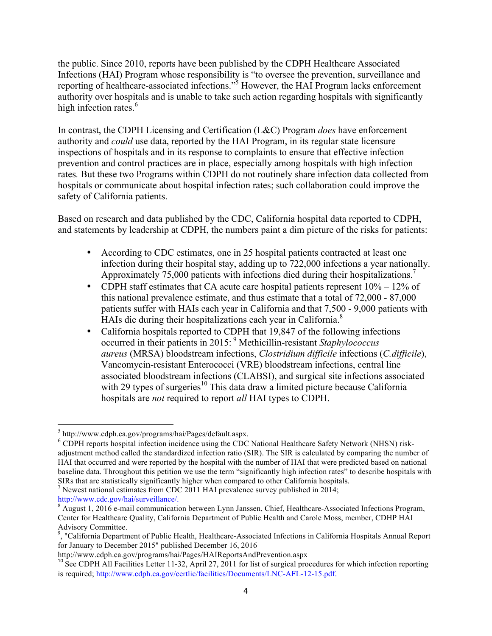the public. Since 2010, reports have been published by the CDPH Healthcare Associated Infections (HAI) Program whose responsibility is "to oversee the prevention, surveillance and reporting of healthcare-associated infections."<sup>5</sup> However, the HAI Program lacks enforcement authority over hospitals and is unable to take such action regarding hospitals with significantly high infection rates.<sup>6</sup>

In contrast, the CDPH Licensing and Certification (L&C) Program *does* have enforcement authority and *could* use data, reported by the HAI Program, in its regular state licensure inspections of hospitals and in its response to complaints to ensure that effective infection prevention and control practices are in place, especially among hospitals with high infection rates*.* But these two Programs within CDPH do not routinely share infection data collected from hospitals or communicate about hospital infection rates; such collaboration could improve the safety of California patients.

Based on research and data published by the CDC, California hospital data reported to CDPH, and statements by leadership at CDPH, the numbers paint a dim picture of the risks for patients:

- According to CDC estimates, one in 25 hospital patients contracted at least one infection during their hospital stay, adding up to 722,000 infections a year nationally. Approximately 75,000 patients with infections died during their hospitalizations.<sup>7</sup>
- CDPH staff estimates that CA acute care hospital patients represent  $10\% 12\%$  of this national prevalence estimate, and thus estimate that a total of 72,000 - 87,000 patients suffer with HAIs each year in California and that 7,500 - 9,000 patients with HAIs die during their hospitalizations each year in California.<sup>8</sup>
- California hospitals reported to CDPH that 19,847 of the following infections occurred in their patients in 2015: <sup>9</sup> Methicillin-resistant *Staphylococcus aureus* (MRSA) bloodstream infections, *Clostridium difficile* infections (*C.difficile*), Vancomycin-resistant Enterococci (VRE) bloodstream infections, central line associated bloodstream infections (CLABSI), and surgical site infections associated with 29 types of surgeries<sup>10</sup> This data draw a limited picture because California hospitals are *not* required to report *all* HAI types to CDPH.

 $5$  http://www.cdph.ca.gov/programs/hai/Pages/default.aspx.<br>  $6$  CDPH reports hospital infection incidence using the CDC National Healthcare Safety Network (NHSN) riskadjustment method called the standardized infection ratio (SIR). The SIR is calculated by comparing the number of HAI that occurred and were reported by the hospital with the number of HAI that were predicted based on national baseline data. Throughout this petition we use the term "significantly high infection rates" to describe hospitals with

SIRs that are statistically significantly higher when compared to other California hospitals.<br>
<sup>7</sup> Newest national estimates from CDC 2011 HAI prevalence survey published in 2014;<br>
http://www.cdc.gov/hai/surveillance/.

 $\frac{8}{8}$  August 1, 2016 e-mail communication between Lynn Janssen, Chief, Healthcare-Associated Infections Program, Center for Healthcare Quality, California Department of Public Health and Carole Moss, member, CDHP HAI

Advisory Committee. 9 , "California Department of Public Health, Healthcare-Associated Infections in California Hospitals Annual Report for January to December 2015" published December 16, 2016

http://www.cdph.ca.gov/programs/hai/Pages/HAIReportsAndPrevention.aspx

<sup>&</sup>lt;sup>10</sup> See CDPH All Facilities Letter 11-32, April 27, 2011 for list of surgical procedures for which infection reporting is required; http://www.cdph.ca.gov/certlic/facilities/Documents/LNC-AFL-12-15.pdf.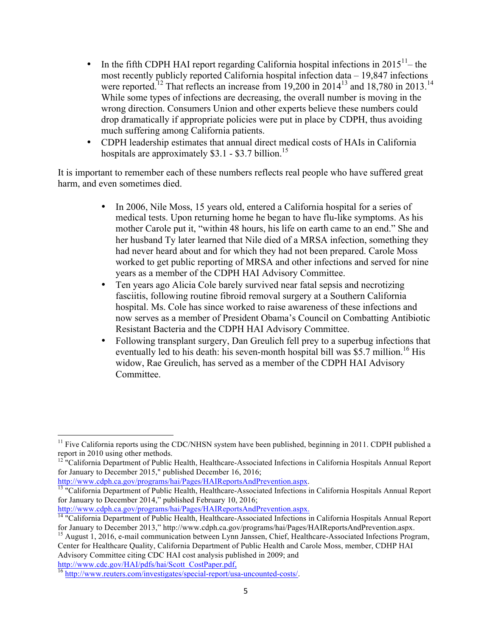- In the fifth CDPH HAI report regarding California hospital infections in  $2015^{11}$  the most recently publicly reported California hospital infection data – 19,847 infections were reported.<sup>12</sup> That reflects an increase from 19,200 in 2014<sup>13</sup> and 18,780 in 2013.<sup>14</sup> While some types of infections are decreasing, the overall number is moving in the wrong direction. Consumers Union and other experts believe these numbers could drop dramatically if appropriate policies were put in place by CDPH, thus avoiding much suffering among California patients.
- CDPH leadership estimates that annual direct medical costs of HAIs in California hospitals are approximately \$3.1 - \$3.7 billion.<sup>15</sup>

It is important to remember each of these numbers reflects real people who have suffered great harm, and even sometimes died.

- In 2006, Nile Moss, 15 years old, entered a California hospital for a series of medical tests. Upon returning home he began to have flu-like symptoms. As his mother Carole put it, "within 48 hours, his life on earth came to an end." She and her husband Ty later learned that Nile died of a MRSA infection, something they had never heard about and for which they had not been prepared. Carole Moss worked to get public reporting of MRSA and other infections and served for nine years as a member of the CDPH HAI Advisory Committee.
- Ten years ago Alicia Cole barely survived near fatal sepsis and necrotizing fasciitis, following routine fibroid removal surgery at a Southern California hospital. Ms. Cole has since worked to raise awareness of these infections and now serves as a member of President Obama's Council on Combatting Antibiotic Resistant Bacteria and the CDPH HAI Advisory Committee.
- Following transplant surgery, Dan Greulich fell prey to a superbug infections that eventually led to his death: his seven-month hospital bill was \$5.7 million.<sup>16</sup> His widow, Rae Greulich, has served as a member of the CDPH HAI Advisory Committee.

 

 $11$  Five California reports using the CDC/NHSN system have been published, beginning in 2011. CDPH published a report in 2010 using other methods.

<sup>&</sup>lt;sup>12</sup> "California Department of Public Health, Healthcare-Associated Infections in California Hospitals Annual Report for January to December 2015," published December 16, 2016;<br>http://www.cdph.ca.gov/programs/hai/Pages/HAIReportsAndPrevention.aspx.

 $\frac{13}{13}$  "California Department of Public Health, Healthcare-Associated Infections in California Hospitals Annual Report for January to December 2014," published February 10, 2016;<br>http://www.cdph.ca.gov/programs/hai/Pages/HAIReportsAndPrevention.aspx.

http://www.complexa.gov/programs/hai/Pages/HAIReportsAndPrevention.aspx.<br><sup>14</sup> "California Department of Public Health, Healthcare-Associated Infections in California Hospitals Annual Report<br>for January to December 2013." h

<sup>&</sup>lt;sup>15</sup> August 1, 2016, e-mail communication between Lynn Janssen, Chief, Healthcare-Associated Infections Program, Center for Healthcare Quality, California Department of Public Health and Carole Moss, member, CDHP HAI Advisory Committee citing CDC HAI cost analysis published in 2009; and http://www.cdc.gov/HAI/pdfs/hai/Scott CostPaper.pdf.

 $\frac{16}{16}$  http://www.reuters.com/investigates/special-report/usa-uncounted-costs/.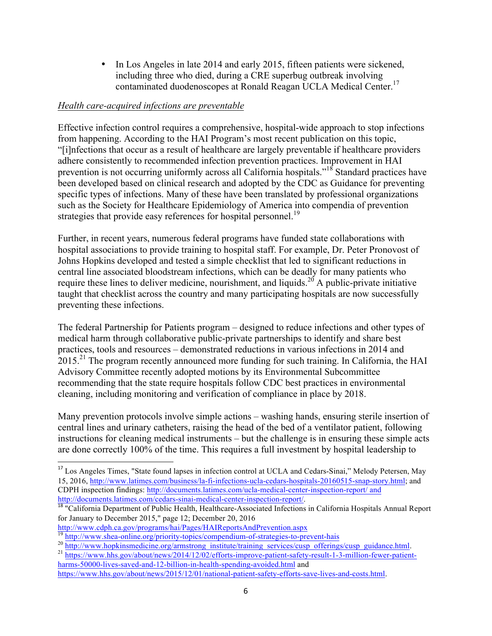• In Los Angeles in late 2014 and early 2015, fifteen patients were sickened, including three who died, during a CRE superbug outbreak involving contaminated duodenoscopes at Ronald Reagan UCLA Medical Center. 17

#### *Health care-acquired infections are preventable*

Effective infection control requires a comprehensive, hospital-wide approach to stop infections from happening. According to the HAI Program's most recent publication on this topic, "[i]nfections that occur as a result of healthcare are largely preventable if healthcare providers adhere consistently to recommended infection prevention practices. Improvement in HAI prevention is not occurring uniformly across all California hospitals."<sup>18</sup> Standard practices have been developed based on clinical research and adopted by the CDC as Guidance for preventing specific types of infections. Many of these have been translated by professional organizations such as the Society for Healthcare Epidemiology of America into compendia of prevention strategies that provide easy references for hospital personnel.<sup>19</sup>

Further, in recent years, numerous federal programs have funded state collaborations with hospital associations to provide training to hospital staff. For example, Dr. Peter Pronovost of Johns Hopkins developed and tested a simple checklist that led to significant reductions in central line associated bloodstream infections, which can be deadly for many patients who require these lines to deliver medicine, nourishment, and liquids.<sup>20</sup> A public-private initiative taught that checklist across the country and many participating hospitals are now successfully preventing these infections.

The federal Partnership for Patients program – designed to reduce infections and other types of medical harm through collaborative public-private partnerships to identify and share best practices, tools and resources – demonstrated reductions in various infections in 2014 and 2015.<sup>21</sup> The program recently announced more funding for such training. In California, the HAI Advisory Committee recently adopted motions by its Environmental Subcommittee recommending that the state require hospitals follow CDC best practices in environmental cleaning, including monitoring and verification of compliance in place by 2018.

Many prevention protocols involve simple actions – washing hands, ensuring sterile insertion of central lines and urinary catheters, raising the head of the bed of a ventilator patient, following instructions for cleaning medical instruments – but the challenge is in ensuring these simple acts are done correctly 100% of the time. This requires a full investment by hospital leadership to

<sup>&</sup>lt;sup>17</sup> Los Angeles Times, "State found lapses in infection control at UCLA and Cedars-Sinai," Melody Petersen, May 15, 2016, http://www.latimes.com/business/la-fi-infections-ucla-cedars-hospitals-20160515-snap-story.html; and CDPH inspection findings: http://documents.latimes.com/ucla-medical-center-inspection-report/ and http://documents.latimes.com/cedars-sinai-medical-center-inspection-report/.

<sup>&</sup>lt;sup>18</sup> "California Department of Public Health, Healthcare-Associated Infections in California Hospitals Annual Report for January to December 2015," page 12; December 20, 2016

http://www.cdph.ca.gov/programs/hai/Pages/HAIReportsAndPrevention.aspx

<sup>&</sup>lt;sup>19</sup> http://www.shea-online.org/priority-topics/compendium-of-strategies-to-prevent-hais<br><sup>20</sup> http://www.hopkinsmedicine.org/armstrong\_institute/training\_services/cusp\_offerings/cusp\_guidance.html<br><sup>21</sup> https://www.hhs.gov/

harms-50000-lives-saved-and-12-billion-in-health-spending-avoided.html and

https://www.hhs.gov/about/news/2015/12/01/national-patient-safety-efforts-save-lives-and-costs.html.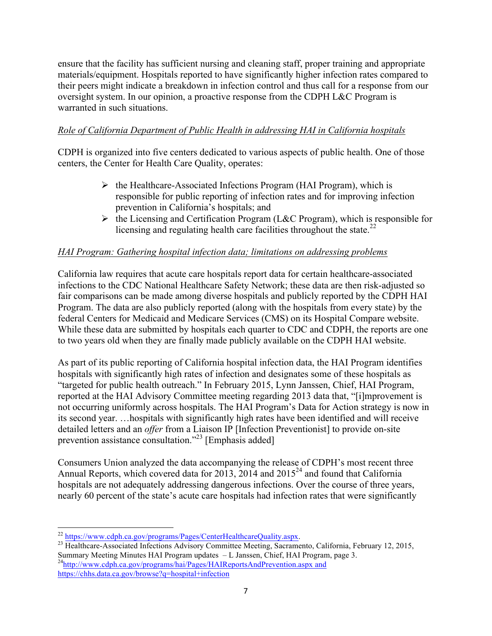ensure that the facility has sufficient nursing and cleaning staff, proper training and appropriate materials/equipment. Hospitals reported to have significantly higher infection rates compared to their peers might indicate a breakdown in infection control and thus call for a response from our oversight system. In our opinion, a proactive response from the CDPH L&C Program is warranted in such situations.

# *Role of California Department of Public Health in addressing HAI in California hospitals*

CDPH is organized into five centers dedicated to various aspects of public health. One of those centers, the Center for Health Care Quality, operates:

- $\triangleright$  the Healthcare-Associated Infections Program (HAI Program), which is responsible for public reporting of infection rates and for improving infection prevention in California's hospitals; and
- $\triangleright$  the Licensing and Certification Program (L&C Program), which is responsible for licensing and regulating health care facilities throughout the state.<sup>22</sup>

# *HAI Program: Gathering hospital infection data; limitations on addressing problems*

California law requires that acute care hospitals report data for certain healthcare-associated infections to the CDC National Healthcare Safety Network; these data are then risk-adjusted so fair comparisons can be made among diverse hospitals and publicly reported by the CDPH HAI Program. The data are also publicly reported (along with the hospitals from every state) by the federal Centers for Medicaid and Medicare Services (CMS) on its Hospital Compare website. While these data are submitted by hospitals each quarter to CDC and CDPH, the reports are one to two years old when they are finally made publicly available on the CDPH HAI website.

As part of its public reporting of California hospital infection data, the HAI Program identifies hospitals with significantly high rates of infection and designates some of these hospitals as "targeted for public health outreach." In February 2015, Lynn Janssen, Chief, HAI Program, reported at the HAI Advisory Committee meeting regarding 2013 data that, "[i]mprovement is not occurring uniformly across hospitals. The HAI Program's Data for Action strategy is now in its second year. …hospitals with significantly high rates have been identified and will receive detailed letters and an *offer* from a Liaison IP [Infection Preventionist] to provide on-site prevention assistance consultation."<sup>23</sup> [Emphasis added]

Consumers Union analyzed the data accompanying the release of CDPH's most recent three Annual Reports, which covered data for 2013, 2014 and 2015<sup>24</sup> and found that California hospitals are not adequately addressing dangerous infections. Over the course of three years, nearly 60 percent of the state's acute care hospitals had infection rates that were significantly

<sup>&</sup>lt;sup>22</sup> https://www.cdph.ca.gov/programs/Pages/CenterHealthcareQuality.aspx.

<sup>&</sup>lt;sup>23</sup> Healthcare-Associated Infections Advisory Committee Meeting, Sacramento, California, February 12, 2015, Summary Meeting Minutes HAI Program updates – L Janssen, Chief, HAI Program, page 3.<br><sup>24</sup>http://www.cdph.ca.gov/programs/hai/Pages/HAIReportsAndPrevention.aspx and https://chhs.data.ca.gov/browse?q=hospital+infection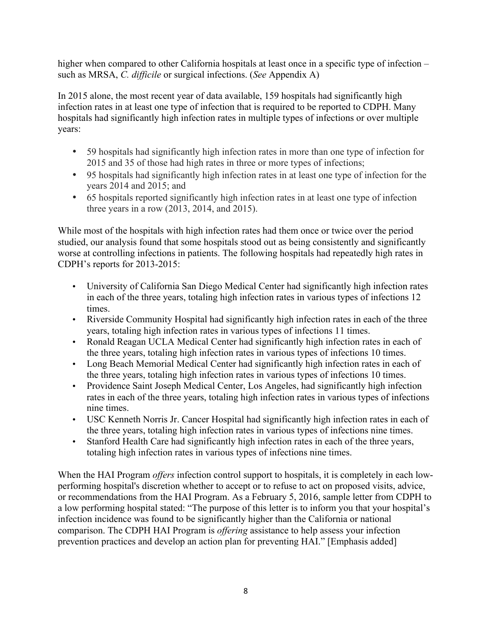higher when compared to other California hospitals at least once in a specific type of infection – such as MRSA, *C. difficile* or surgical infections. (*See* Appendix A)

In 2015 alone, the most recent year of data available, 159 hospitals had significantly high infection rates in at least one type of infection that is required to be reported to CDPH. Many hospitals had significantly high infection rates in multiple types of infections or over multiple years:

- 59 hospitals had significantly high infection rates in more than one type of infection for 2015 and 35 of those had high rates in three or more types of infections;
- 95 hospitals had significantly high infection rates in at least one type of infection for the years 2014 and 2015; and
- 65 hospitals reported significantly high infection rates in at least one type of infection three years in a row (2013, 2014, and 2015).

While most of the hospitals with high infection rates had them once or twice over the period studied, our analysis found that some hospitals stood out as being consistently and significantly worse at controlling infections in patients. The following hospitals had repeatedly high rates in CDPH's reports for 2013-2015:

- University of California San Diego Medical Center had significantly high infection rates in each of the three years, totaling high infection rates in various types of infections 12 times.
- Riverside Community Hospital had significantly high infection rates in each of the three years, totaling high infection rates in various types of infections 11 times.
- Ronald Reagan UCLA Medical Center had significantly high infection rates in each of the three years, totaling high infection rates in various types of infections 10 times.
- Long Beach Memorial Medical Center had significantly high infection rates in each of the three years, totaling high infection rates in various types of infections 10 times.
- Providence Saint Joseph Medical Center, Los Angeles, had significantly high infection rates in each of the three years, totaling high infection rates in various types of infections nine times.
- USC Kenneth Norris Jr. Cancer Hospital had significantly high infection rates in each of the three years, totaling high infection rates in various types of infections nine times.
- Stanford Health Care had significantly high infection rates in each of the three years, totaling high infection rates in various types of infections nine times.

When the HAI Program *offers* infection control support to hospitals, it is completely in each lowperforming hospital's discretion whether to accept or to refuse to act on proposed visits, advice, or recommendations from the HAI Program. As a February 5, 2016, sample letter from CDPH to a low performing hospital stated: "The purpose of this letter is to inform you that your hospital's infection incidence was found to be significantly higher than the California or national comparison. The CDPH HAI Program is *offering* assistance to help assess your infection prevention practices and develop an action plan for preventing HAI." [Emphasis added]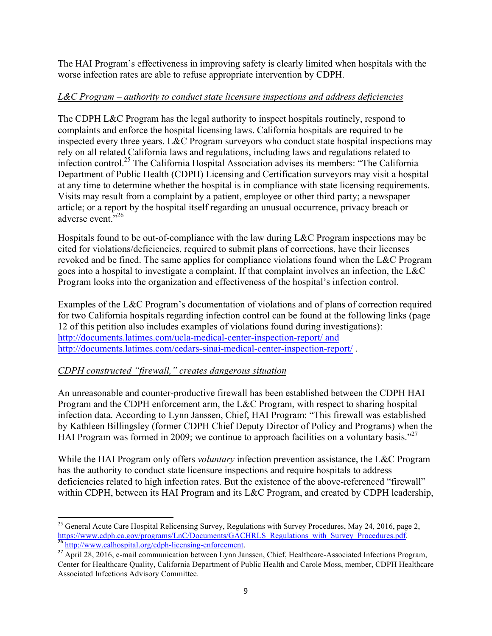The HAI Program's effectiveness in improving safety is clearly limited when hospitals with the worse infection rates are able to refuse appropriate intervention by CDPH.

# *L&C Program – authority to conduct state licensure inspections and address deficiencies*

The CDPH L&C Program has the legal authority to inspect hospitals routinely, respond to complaints and enforce the hospital licensing laws. California hospitals are required to be inspected every three years. L&C Program surveyors who conduct state hospital inspections may rely on all related California laws and regulations, including laws and regulations related to infection control.25 The California Hospital Association advises its members: "The California Department of Public Health (CDPH) Licensing and Certification surveyors may visit a hospital at any time to determine whether the hospital is in compliance with state licensing requirements. Visits may result from a complaint by a patient, employee or other third party; a newspaper article; or a report by the hospital itself regarding an unusual occurrence, privacy breach or adverse event."26

Hospitals found to be out-of-compliance with the law during L&C Program inspections may be cited for violations/deficiencies, required to submit plans of corrections, have their licenses revoked and be fined. The same applies for compliance violations found when the L&C Program goes into a hospital to investigate a complaint. If that complaint involves an infection, the L&C Program looks into the organization and effectiveness of the hospital's infection control.

Examples of the L&C Program's documentation of violations and of plans of correction required for two California hospitals regarding infection control can be found at the following links (page 12 of this petition also includes examples of violations found during investigations): http://documents.latimes.com/ucla-medical-center-inspection-report/ and http://documents.latimes.com/cedars-sinai-medical-center-inspection-report/ .

# *CDPH constructed "firewall," creates dangerous situation*

An unreasonable and counter-productive firewall has been established between the CDPH HAI Program and the CDPH enforcement arm, the L&C Program, with respect to sharing hospital infection data. According to Lynn Janssen, Chief, HAI Program: "This firewall was established by Kathleen Billingsley (former CDPH Chief Deputy Director of Policy and Programs) when the HAI Program was formed in 2009; we continue to approach facilities on a voluntary basis."<sup>27</sup>

While the HAI Program only offers *voluntary* infection prevention assistance, the L&C Program has the authority to conduct state licensure inspections and require hospitals to address deficiencies related to high infection rates. But the existence of the above-referenced "firewall" within CDPH, between its HAI Program and its L&C Program, and created by CDPH leadership,

<sup>&</sup>lt;u> 1989 - Johann Stein, fransk politik (d. 1989)</u> <sup>25</sup> General Acute Care Hospital Relicensing Survey, Regulations with Survey Procedures, May 24, 2016, page 2, https://www.cdph.ca.gov/programs/LnC/Documents/GACHRLS\_Regulations\_with\_Survey\_Procedures.pdf. 26 http://www.calhospital.org/cdph-licensing-enforcement.

<sup>&</sup>lt;sup>27</sup> April 28, 2016, e-mail communication between Lynn Janssen, Chief, Healthcare-Associated Infections Program, Center for Healthcare Quality, California Department of Public Health and Carole Moss, member, CDPH Healthcare Associated Infections Advisory Committee.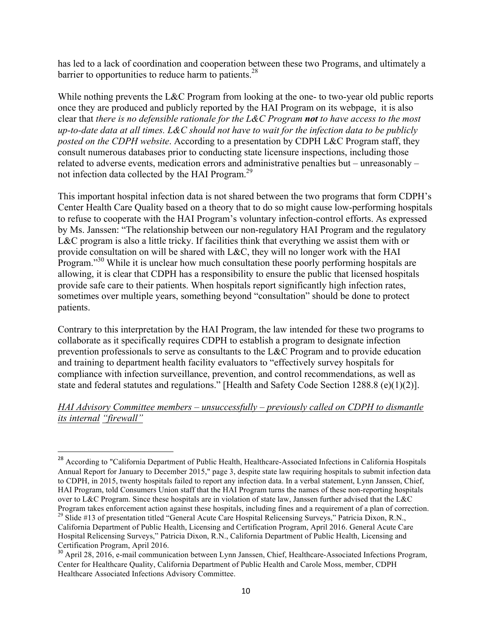has led to a lack of coordination and cooperation between these two Programs, and ultimately a barrier to opportunities to reduce harm to patients. $28$ 

While nothing prevents the L&C Program from looking at the one- to two-year old public reports once they are produced and publicly reported by the HAI Program on its webpage, it is also clear that *there is no defensible rationale for the L&C Program not to have access to the most up-to-date data at all times. L&C should not have to wait for the infection data to be publicly posted on the CDPH website*. According to a presentation by CDPH L&C Program staff, they consult numerous databases prior to conducting state licensure inspections, including those related to adverse events, medication errors and administrative penalties but – unreasonably – not infection data collected by the HAI Program.<sup>29</sup>

This important hospital infection data is not shared between the two programs that form CDPH's Center Health Care Quality based on a theory that to do so might cause low-performing hospitals to refuse to cooperate with the HAI Program's voluntary infection-control efforts. As expressed by Ms. Janssen: "The relationship between our non-regulatory HAI Program and the regulatory L&C program is also a little tricky. If facilities think that everything we assist them with or provide consultation on will be shared with L&C, they will no longer work with the HAI Program."<sup>30</sup> While it is unclear how much consultation these poorly performing hospitals are allowing, it is clear that CDPH has a responsibility to ensure the public that licensed hospitals provide safe care to their patients. When hospitals report significantly high infection rates, sometimes over multiple years, something beyond "consultation" should be done to protect patients.

Contrary to this interpretation by the HAI Program, the law intended for these two programs to collaborate as it specifically requires CDPH to establish a program to designate infection prevention professionals to serve as consultants to the L&C Program and to provide education and training to department health facility evaluators to "effectively survey hospitals for compliance with infection surveillance, prevention, and control recommendations, as well as state and federal statutes and regulations." [Health and Safety Code Section 1288.8 (e)(1)(2)].

#### *HAI Advisory Committee members – unsuccessfully – previously called on CDPH to dismantle its internal "firewall"*

<sup>&</sup>lt;sup>28</sup> According to "California Department of Public Health, Healthcare-Associated Infections in California Hospitals Annual Report for January to December 2015," page 3, despite state law requiring hospitals to submit infection data to CDPH, in 2015, twenty hospitals failed to report any infection data. In a verbal statement, Lynn Janssen, Chief, HAI Program, told Consumers Union staff that the HAI Program turns the names of these non-reporting hospitals over to L&C Program. Since these hospitals are in violation of state law, Janssen further advised that the L&C Program takes enforcement action against these hospitals, including fines and a requirement of a plan of correction.<br><sup>29</sup> Slide #13 of presentation titled "General Acute Care Hospital Relicensing Surveys," Patricia Dixon,

California Department of Public Health, Licensing and Certification Program, April 2016. General Acute Care Hospital Relicensing Surveys," Patricia Dixon, R.N., California Department of Public Health, Licensing and Certification Program, April 2016.

<sup>&</sup>lt;sup>30</sup> April 28, 2016, e-mail communication between Lynn Janssen, Chief, Healthcare-Associated Infections Program, Center for Healthcare Quality, California Department of Public Health and Carole Moss, member, CDPH Healthcare Associated Infections Advisory Committee.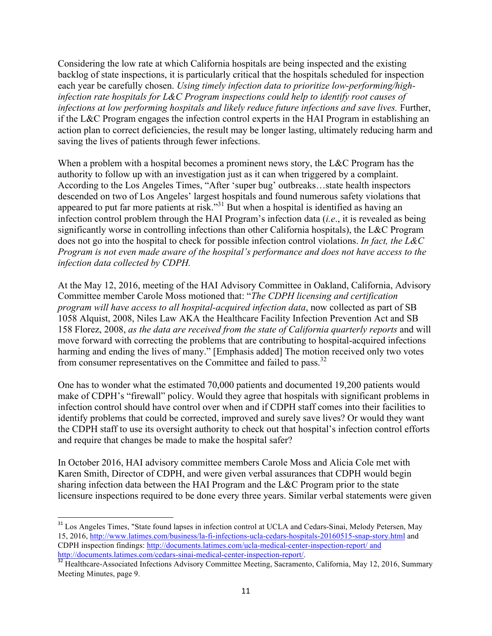Considering the low rate at which California hospitals are being inspected and the existing backlog of state inspections, it is particularly critical that the hospitals scheduled for inspection each year be carefully chosen. *Using timely infection data to prioritize low-performing/highinfection rate hospitals for L&C Program inspections could help to identify root causes of infections at low performing hospitals and likely reduce future infections and save lives.* Further, if the L&C Program engages the infection control experts in the HAI Program in establishing an action plan to correct deficiencies, the result may be longer lasting, ultimately reducing harm and saving the lives of patients through fewer infections.

When a problem with a hospital becomes a prominent news story, the L&C Program has the authority to follow up with an investigation just as it can when triggered by a complaint. According to the Los Angeles Times, "After 'super bug' outbreaks…state health inspectors descended on two of Los Angeles' largest hospitals and found numerous safety violations that appeared to put far more patients at risk.<sup>331</sup> But when a hospital is identified as having an infection control problem through the HAI Program's infection data (*i.e*., it is revealed as being significantly worse in controlling infections than other California hospitals), the L&C Program does not go into the hospital to check for possible infection control violations. *In fact, the L&C Program is not even made aware of the hospital's performance and does not have access to the infection data collected by CDPH.* 

At the May 12, 2016, meeting of the HAI Advisory Committee in Oakland, California, Advisory Committee member Carole Moss motioned that: "*The CDPH licensing and certification program will have access to all hospital-acquired infection data*, now collected as part of SB 1058 Alquist, 2008, Niles Law AKA the Healthcare Facility Infection Prevention Act and SB 158 Florez, 2008, *as the data are received from the state of California quarterly reports* and will move forward with correcting the problems that are contributing to hospital-acquired infections harming and ending the lives of many." [Emphasis added] The motion received only two votes from consumer representatives on the Committee and failed to pass.<sup>32</sup>

One has to wonder what the estimated 70,000 patients and documented 19,200 patients would make of CDPH's "firewall" policy. Would they agree that hospitals with significant problems in infection control should have control over when and if CDPH staff comes into their facilities to identify problems that could be corrected, improved and surely save lives? Or would they want the CDPH staff to use its oversight authority to check out that hospital's infection control efforts and require that changes be made to make the hospital safer?

In October 2016, HAI advisory committee members Carole Moss and Alicia Cole met with Karen Smith, Director of CDPH, and were given verbal assurances that CDPH would begin sharing infection data between the HAI Program and the L&C Program prior to the state licensure inspections required to be done every three years. Similar verbal statements were given

<sup>&</sup>lt;sup>31</sup> Los Angeles Times, "State found lapses in infection control at UCLA and Cedars-Sinai, Melody Petersen, May 15, 2016, http://www.latimes.com/business/la-fi-infections-ucla-cedars-hospitals-20160515-snap-story.html and CDPH inspection findings: http://documents.latimes.com/ucla-medical-center-inspection-report/ and http://documents.latimes.com/cedars-sinai-medical-center-inspection-report/.<br><sup>32</sup> Healthcare-Associated Infections Advisory Committee Meeting, Sacramento, California, May 12, 2016, Summary

Meeting Minutes, page 9.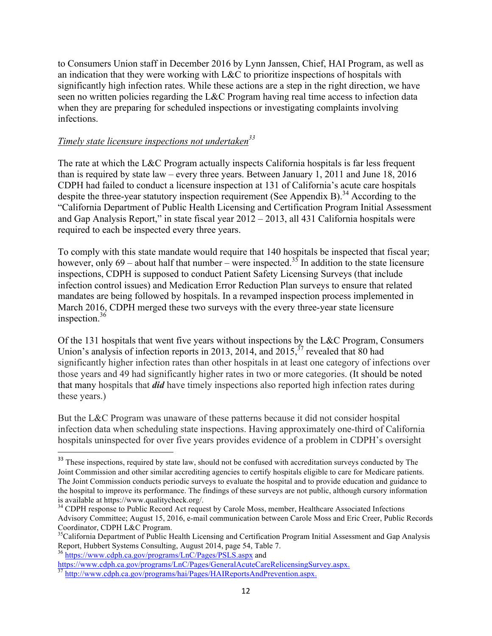to Consumers Union staff in December 2016 by Lynn Janssen, Chief, HAI Program, as well as an indication that they were working with L&C to prioritize inspections of hospitals with significantly high infection rates. While these actions are a step in the right direction, we have seen no written policies regarding the L&C Program having real time access to infection data when they are preparing for scheduled inspections or investigating complaints involving infections.

# *Timely state licensure inspections not undertaken*<sup>33</sup>

The rate at which the L&C Program actually inspects California hospitals is far less frequent than is required by state law – every three years. Between January 1, 2011 and June 18, 2016 CDPH had failed to conduct a licensure inspection at 131 of California's acute care hospitals despite the three-year statutory inspection requirement (See Appendix B).<sup>34</sup> According to the "California Department of Public Health Licensing and Certification Program Initial Assessment and Gap Analysis Report," in state fiscal year 2012 – 2013, all 431 California hospitals were required to each be inspected every three years.

To comply with this state mandate would require that 140 hospitals be inspected that fiscal year; however, only 69 – about half that number – were inspected.<sup>35</sup> In addition to the state licensure inspections, CDPH is supposed to conduct Patient Safety Licensing Surveys (that include infection control issues) and Medication Error Reduction Plan surveys to ensure that related mandates are being followed by hospitals. In a revamped inspection process implemented in March 2016, CDPH merged these two surveys with the every three-year state licensure inspection.<sup>36</sup>

Of the 131 hospitals that went five years without inspections by the L&C Program, Consumers Union's analysis of infection reports in 2013, 2014, and 2015,  $37$  revealed that 80 had significantly higher infection rates than other hospitals in at least one category of infections over those years and 49 had significantly higher rates in two or more categories. (It should be noted that many hospitals that *did* have timely inspections also reported high infection rates during these years.)

But the L&C Program was unaware of these patterns because it did not consider hospital infection data when scheduling state inspections. Having approximately one-third of California hospitals uninspected for over five years provides evidence of a problem in CDPH's oversight

https://www.cdph.ca.gov/programs/LnC/Pages/GeneralAcuteCareRelicensingSurvey.aspx. <sup>37</sup> http://www.cdph.ca.gov/programs/hai/Pages/HAIReportsAndPrevention.aspx.

<sup>&</sup>lt;sup>33</sup> These inspections, required by state law, should not be confused with accreditation surveys conducted by The Joint Commission and other similar accrediting agencies to certify hospitals eligible to care for Medicare patients. The Joint Commission conducts periodic surveys to evaluate the hospital and to provide education and guidance to the hospital to improve its performance. The findings of these surveys are not public, although cursory information is available at https://www.qualitycheck.org/.<br><sup>34</sup> CDPH response to Public Record Act request by Carole Moss, member, Healthcare Associated Infections

Advisory Committee; August 15, 2016, e-mail communication between Carole Moss and Eric Creer, Public Records Coordinator, CDPH L&C Program.

<sup>&</sup>lt;sup>35</sup>California Department of Public Health Licensing and Certification Program Initial Assessment and Gap Analysis Report, Hubbert Systems Consulting, August 2014, page 54, Table 7. 36 https://www.cdph.ca.gov/programs/LnC/Pages/PSLS.aspx and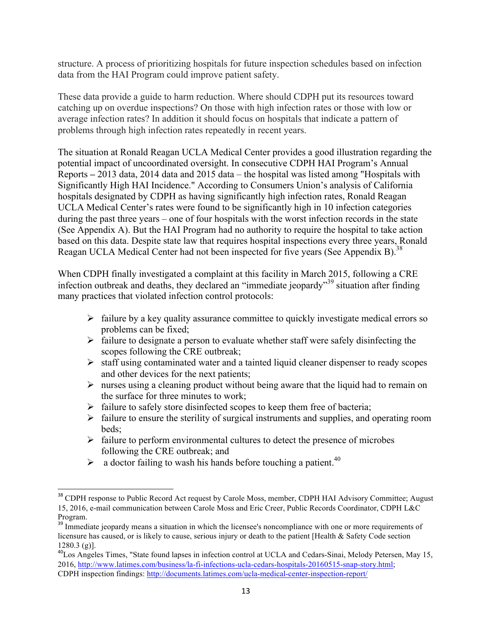structure. A process of prioritizing hospitals for future inspection schedules based on infection data from the HAI Program could improve patient safety.

These data provide a guide to harm reduction. Where should CDPH put its resources toward catching up on overdue inspections? On those with high infection rates or those with low or average infection rates? In addition it should focus on hospitals that indicate a pattern of problems through high infection rates repeatedly in recent years.

The situation at Ronald Reagan UCLA Medical Center provides a good illustration regarding the potential impact of uncoordinated oversight. In consecutive CDPH HAI Program's Annual Reports **–** 2013 data, 2014 data and 2015 data – the hospital was listed among "Hospitals with Significantly High HAI Incidence." According to Consumers Union's analysis of California hospitals designated by CDPH as having significantly high infection rates, Ronald Reagan UCLA Medical Center's rates were found to be significantly high in 10 infection categories during the past three years – one of four hospitals with the worst infection records in the state (See Appendix A). But the HAI Program had no authority to require the hospital to take action based on this data. Despite state law that requires hospital inspections every three years, Ronald Reagan UCLA Medical Center had not been inspected for five years (See Appendix B).<sup>38</sup>

When CDPH finally investigated a complaint at this facility in March 2015, following a CRE infection outbreak and deaths, they declared an "immediate jeopardy"39 situation after finding many practices that violated infection control protocols:

- $\triangleright$  failure by a key quality assurance committee to quickly investigate medical errors so problems can be fixed;
- $\triangleright$  failure to designate a person to evaluate whether staff were safely disinfecting the scopes following the CRE outbreak;
- $\triangleright$  staff using contaminated water and a tainted liquid cleaner dispenser to ready scopes and other devices for the next patients;
- $\triangleright$  nurses using a cleaning product without being aware that the liquid had to remain on the surface for three minutes to work;
- $\triangleright$  failure to safely store disinfected scopes to keep them free of bacteria;
- $\triangleright$  failure to ensure the sterility of surgical instruments and supplies, and operating room beds;
- $\triangleright$  failure to perform environmental cultures to detect the presence of microbes following the CRE outbreak; and
- $\triangleright$  a doctor failing to wash his hands before touching a patient.<sup>40</sup>

<sup>&</sup>lt;sup>38</sup> CDPH response to Public Record Act request by Carole Moss, member, CDPH HAI Advisory Committee; August 15, 2016, e-mail communication between Carole Moss and Eric Creer, Public Records Coordinator, CDPH L&C Program.

<sup>&</sup>lt;sup>39</sup> Immediate jeopardy means a situation in which the licensee's noncompliance with one or more requirements of licensure has caused, or is likely to cause, serious injury or death to the patient [Health & Safety Code section  $1280.3$  (g)].<br><sup>40</sup>Los Angeles Times, "State found lapses in infection control at UCLA and Cedars-Sinai, Melody Petersen, May 15,

<sup>2016,</sup> http://www.latimes.com/business/la-fi-infections-ucla-cedars-hospitals-20160515-snap-story.html; CDPH inspection findings: http://documents.latimes.com/ucla-medical-center-inspection-report/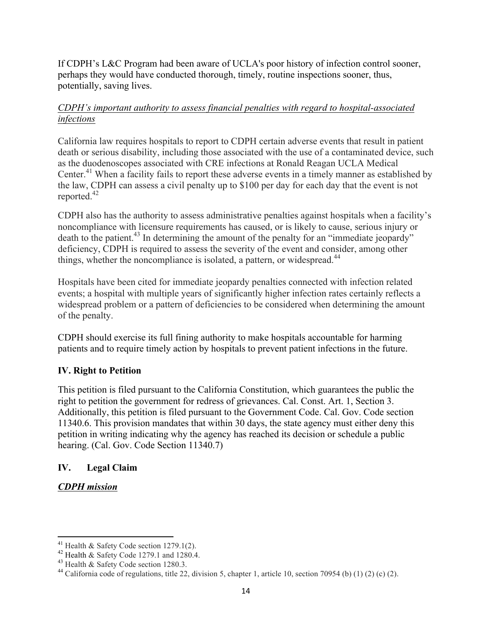If CDPH's L&C Program had been aware of UCLA's poor history of infection control sooner, perhaps they would have conducted thorough, timely, routine inspections sooner, thus, potentially, saving lives.

### *CDPH's important authority to assess financial penalties with regard to hospital-associated infections*

California law requires hospitals to report to CDPH certain adverse events that result in patient death or serious disability, including those associated with the use of a contaminated device, such as the duodenoscopes associated with CRE infections at Ronald Reagan UCLA Medical Center. <sup>41</sup> When a facility fails to report these adverse events in a timely manner as established by the law, CDPH can assess a civil penalty up to \$100 per day for each day that the event is not reported.42

CDPH also has the authority to assess administrative penalties against hospitals when a facility's noncompliance with licensure requirements has caused, or is likely to cause, serious injury or death to the patient.<sup>43</sup> In determining the amount of the penalty for an "immediate jeopardy" deficiency, CDPH is required to assess the severity of the event and consider, among other things, whether the noncompliance is isolated, a pattern, or widespread.<sup>44</sup>

Hospitals have been cited for immediate jeopardy penalties connected with infection related events; a hospital with multiple years of significantly higher infection rates certainly reflects a widespread problem or a pattern of deficiencies to be considered when determining the amount of the penalty.

CDPH should exercise its full fining authority to make hospitals accountable for harming patients and to require timely action by hospitals to prevent patient infections in the future.

# **IV. Right to Petition**

This petition is filed pursuant to the California Constitution, which guarantees the public the right to petition the government for redress of grievances. Cal. Const. Art. 1, Section 3. Additionally, this petition is filed pursuant to the Government Code. Cal. Gov. Code section 11340.6. This provision mandates that within 30 days, the state agency must either deny this petition in writing indicating why the agency has reached its decision or schedule a public hearing. (Cal. Gov. Code Section 11340.7)

# **IV. Legal Claim**

# *CDPH mission*

<sup>&</sup>lt;sup>41</sup> Health & Safety Code section 1279.1(2).<br><sup>42</sup> Health & Safety Code 1279.1 and 1280.4.

<sup>&</sup>lt;sup>43</sup> Health & Safety Code section 1280.3.<br><sup>44</sup> California code of regulations, title 22, division 5, chapter 1, article 10, section 70954 (b) (1) (2) (c) (2).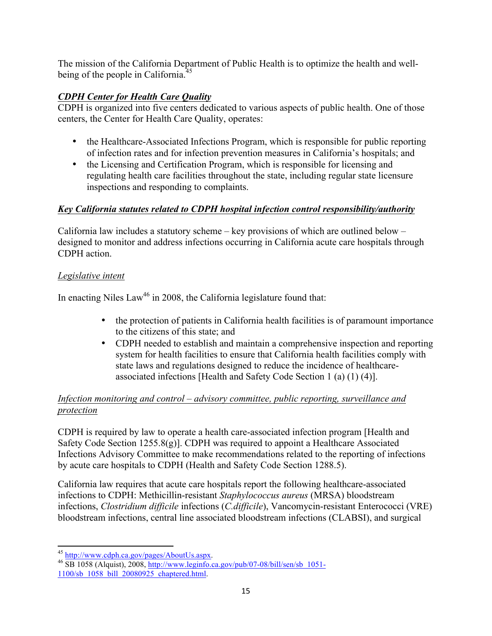The mission of the California Department of Public Health is to optimize the health and wellbeing of the people in California.<sup>45</sup>

# *CDPH Center for Health Care Quality*

CDPH is organized into five centers dedicated to various aspects of public health. One of those centers, the Center for Health Care Quality, operates:

- the Healthcare-Associated Infections Program, which is responsible for public reporting of infection rates and for infection prevention measures in California's hospitals; and
- the Licensing and Certification Program, which is responsible for licensing and regulating health care facilities throughout the state, including regular state licensure inspections and responding to complaints.

# *Key California statutes related to CDPH hospital infection control responsibility/authority*

California law includes a statutory scheme – key provisions of which are outlined below – designed to monitor and address infections occurring in California acute care hospitals through CDPH action.

# *Legislative intent*

In enacting Niles  $Law<sup>46</sup>$  in 2008, the California legislature found that:

- the protection of patients in California health facilities is of paramount importance to the citizens of this state; and
- CDPH needed to establish and maintain a comprehensive inspection and reporting system for health facilities to ensure that California health facilities comply with state laws and regulations designed to reduce the incidence of healthcareassociated infections [Health and Safety Code Section 1 (a) (1) (4)].

# *Infection monitoring and control – advisory committee, public reporting, surveillance and protection*

CDPH is required by law to operate a health care-associated infection program [Health and Safety Code Section 1255.8(g)]. CDPH was required to appoint a Healthcare Associated Infections Advisory Committee to make recommendations related to the reporting of infections by acute care hospitals to CDPH (Health and Safety Code Section 1288.5).

California law requires that acute care hospitals report the following healthcare-associated infections to CDPH: Methicillin-resistant *Staphylococcus aureus* (MRSA) bloodstream infections, *Clostridium difficile* infections (*C.difficile*), Vancomycin-resistant Enterococci (VRE) bloodstream infections, central line associated bloodstream infections (CLABSI), and surgical

 

<sup>&</sup>lt;sup>45</sup> http://www.cdph.ca.gov/pages/AboutUs.aspx.<br><sup>46</sup> SB 1058 (Alquist), 2008, http://www.leginfo.ca.gov/pub/07-08/bill/sen/sb 1051-1100/sb\_1058\_bill\_20080925\_chaptered.html.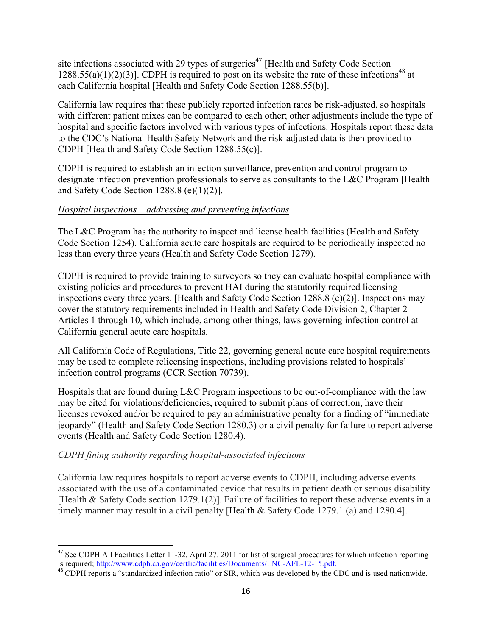site infections associated with 29 types of surgeries<sup>47</sup> [Health and Safety Code Section 1288.55(a)(1)(2)(3)]. CDPH is required to post on its website the rate of these infections<sup>48</sup> at each California hospital [Health and Safety Code Section 1288.55(b)].

California law requires that these publicly reported infection rates be risk-adjusted, so hospitals with different patient mixes can be compared to each other; other adjustments include the type of hospital and specific factors involved with various types of infections. Hospitals report these data to the CDC's National Health Safety Network and the risk-adjusted data is then provided to CDPH [Health and Safety Code Section 1288.55(c)].

CDPH is required to establish an infection surveillance, prevention and control program to designate infection prevention professionals to serve as consultants to the L&C Program [Health and Safety Code Section 1288.8 (e)(1)(2)].

### *Hospital inspections – addressing and preventing infections*

The L&C Program has the authority to inspect and license health facilities (Health and Safety Code Section 1254). California acute care hospitals are required to be periodically inspected no less than every three years (Health and Safety Code Section 1279).

CDPH is required to provide training to surveyors so they can evaluate hospital compliance with existing policies and procedures to prevent HAI during the statutorily required licensing inspections every three years. [Health and Safety Code Section 1288.8 (e)(2)]. Inspections may cover the statutory requirements included in Health and Safety Code Division 2, Chapter 2 Articles 1 through 10, which include, among other things, laws governing infection control at California general acute care hospitals.

All California Code of Regulations, Title 22, governing general acute care hospital requirements may be used to complete relicensing inspections, including provisions related to hospitals' infection control programs (CCR Section 70739).

Hospitals that are found during L&C Program inspections to be out-of-compliance with the law may be cited for violations/deficiencies, required to submit plans of correction, have their licenses revoked and/or be required to pay an administrative penalty for a finding of "immediate jeopardy" (Health and Safety Code Section 1280.3) or a civil penalty for failure to report adverse events (Health and Safety Code Section 1280.4).

# *CDPH fining authority regarding hospital-associated infections*

California law requires hospitals to report adverse events to CDPH, including adverse events associated with the use of a contaminated device that results in patient death or serious disability [Health & Safety Code section 1279.1(2)]. Failure of facilities to report these adverse events in a timely manner may result in a civil penalty [Health & Safety Code 1279.1 (a) and 1280.4].

  $47$  See CDPH All Facilities Letter 11-32, April 27. 2011 for list of surgical procedures for which infection reporting is required; http://www.cdph.ca.gov/certlic/facilities/Documents/LNC-AFL-12-15.pdf.<br><sup>48</sup> CDPH reports a "standardized infection ratio" or SIR, which was developed by the CDC and is used nationwide.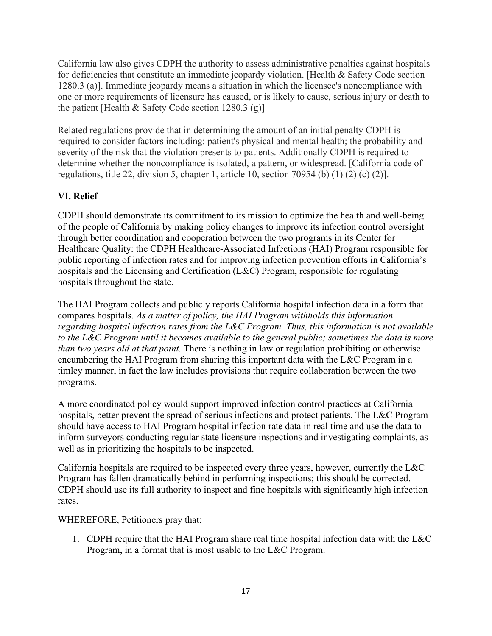California law also gives CDPH the authority to assess administrative penalties against hospitals for deficiencies that constitute an immediate jeopardy violation. [Health & Safety Code section 1280.3 (a)]. Immediate jeopardy means a situation in which the licensee's noncompliance with one or more requirements of licensure has caused, or is likely to cause, serious injury or death to the patient [Health & Safety Code section 1280.3  $(g)$ ]

Related regulations provide that in determining the amount of an initial penalty CDPH is required to consider factors including: patient's physical and mental health; the probability and severity of the risk that the violation presents to patients. Additionally CDPH is required to determine whether the noncompliance is isolated, a pattern, or widespread. [California code of regulations, title 22, division 5, chapter 1, article 10, section 70954 (b) (1) (2) (c) (2)].

# **VI. Relief**

CDPH should demonstrate its commitment to its mission to optimize the health and well-being of the people of California by making policy changes to improve its infection control oversight through better coordination and cooperation between the two programs in its Center for Healthcare Quality: the CDPH Healthcare-Associated Infections (HAI) Program responsible for public reporting of infection rates and for improving infection prevention efforts in California's hospitals and the Licensing and Certification (L&C) Program, responsible for regulating hospitals throughout the state.

The HAI Program collects and publicly reports California hospital infection data in a form that compares hospitals. *As a matter of policy, the HAI Program withholds this information*  regarding hospital infection rates from the L&C Program. Thus, this *information* is not available *to the L&C Program until it becomes available to the general public; sometimes the data is more than two years old at that point.* There is nothing in law or regulation prohibiting or otherwise encumbering the HAI Program from sharing this important data with the L&C Program in a timley manner, in fact the law includes provisions that require collaboration between the two programs.

A more coordinated policy would support improved infection control practices at California hospitals, better prevent the spread of serious infections and protect patients. The L&C Program should have access to HAI Program hospital infection rate data in real time and use the data to inform surveyors conducting regular state licensure inspections and investigating complaints, as well as in prioritizing the hospitals to be inspected.

California hospitals are required to be inspected every three years, however, currently the L&C Program has fallen dramatically behind in performing inspections; this should be corrected. CDPH should use its full authority to inspect and fine hospitals with significantly high infection rates.

WHEREFORE, Petitioners pray that:

1. CDPH require that the HAI Program share real time hospital infection data with the L&C Program, in a format that is most usable to the L&C Program.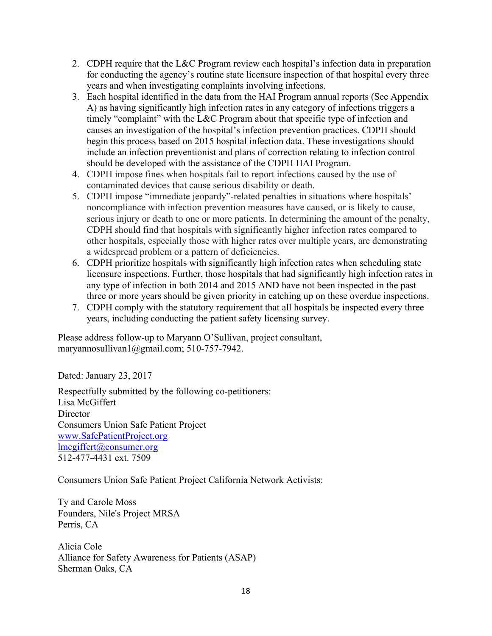- 2. CDPH require that the L&C Program review each hospital's infection data in preparation for conducting the agency's routine state licensure inspection of that hospital every three years and when investigating complaints involving infections.
- 3. Each hospital identified in the data from the HAI Program annual reports (See Appendix A) as having significantly high infection rates in any category of infections triggers a timely "complaint" with the L&C Program about that specific type of infection and causes an investigation of the hospital's infection prevention practices. CDPH should begin this process based on 2015 hospital infection data. These investigations should include an infection preventionist and plans of correction relating to infection control should be developed with the assistance of the CDPH HAI Program.
- 4. CDPH impose fines when hospitals fail to report infections caused by the use of contaminated devices that cause serious disability or death.
- 5. CDPH impose "immediate jeopardy"-related penalties in situations where hospitals' noncompliance with infection prevention measures have caused, or is likely to cause, serious injury or death to one or more patients. In determining the amount of the penalty, CDPH should find that hospitals with significantly higher infection rates compared to other hospitals, especially those with higher rates over multiple years, are demonstrating a widespread problem or a pattern of deficiencies.
- 6. CDPH prioritize hospitals with significantly high infection rates when scheduling state licensure inspections. Further, those hospitals that had significantly high infection rates in any type of infection in both 2014 and 2015 AND have not been inspected in the past three or more years should be given priority in catching up on these overdue inspections.
- 7. CDPH comply with the statutory requirement that all hospitals be inspected every three years, including conducting the patient safety licensing survey.

Please address follow-up to Maryann O'Sullivan, project consultant, maryannosullivan1@gmail.com; 510-757-7942.

Dated: January 23, 2017

Respectfully submitted by the following co-petitioners: Lisa McGiffert **Director** Consumers Union Safe Patient Project www.SafePatientProject.org lmcgiffert@consumer.org 512-477-4431 ext. 7509

Consumers Union Safe Patient Project California Network Activists:

Ty and Carole Moss Founders, Nile's Project MRSA Perris, CA

Alicia Cole Alliance for Safety Awareness for Patients (ASAP) Sherman Oaks, CA